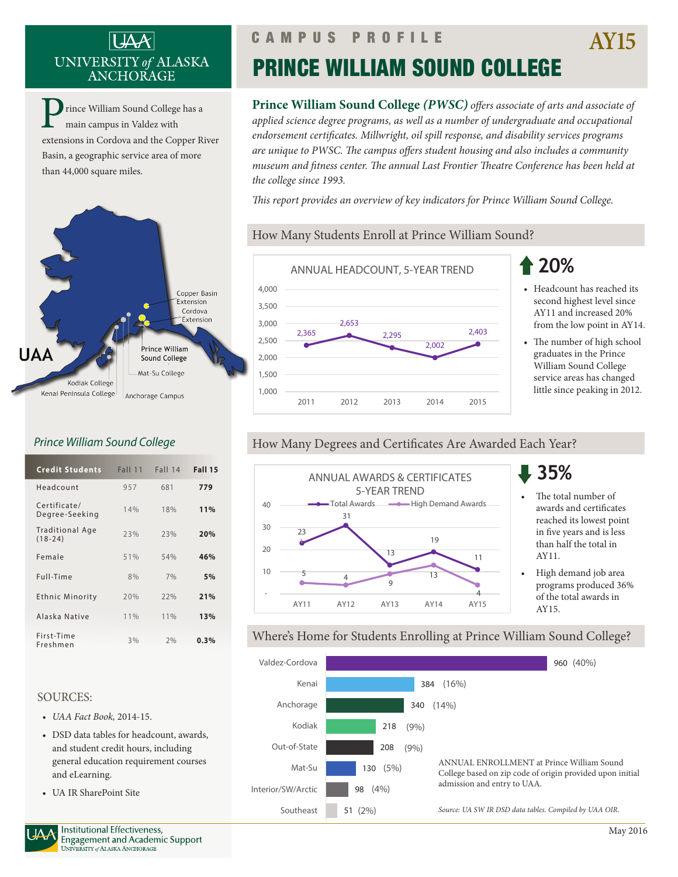## UNIVERSITY of ALASKA ANCHORAGE

rince William Sound College has a main campus in Valdez with extensions in Cordova and the Copper River Basin, a geographic service area of more than 44,000 square miles.



### *Prince William Sound College*

| <b>Credit Students</b>              | <b>Fall 11</b> | <b>Fall 14</b> | <b>Fall 15</b> |
|-------------------------------------|----------------|----------------|----------------|
| Headcount                           | 957            | 681            | 779            |
| Certificate/<br>Degree-Seeking      | 14%            | 18%            | 11%            |
| <b>Traditional Age</b><br>$(18-24)$ | 23%            | 23%            | 20%            |
| Female                              | 51%            | 54%            | 46%            |
| Full-Time                           | 8%             | 7%             | 5%             |
| Ethnic Minority                     | 20%            | 22%            | 21%            |
| Alaska Native                       | $11\%$         | 11%            | 13%            |
| First-Time<br>Freshmen              | 3%             | 2%             | 0.3%           |

#### SOURCES:

- *• UAA Fact Book,* 2014-15.
- DSD data tables for headcount, awards, and student credit hours, including general education requirement courses and eLearning.
- UA IR SharePoint Site

# PRINCE WILLIAM SOUND COLLEGE

**Prince William Sound College** *(PWSC) offers associate of arts and associate of applied science degree programs, as well as a number of undergraduate and occupational endorsement certificates. Millwright, oil spill response, and disability services programs are unique to PWSC. The campus offers student housing and also includes a community museum and fitness center. The annual Last Frontier Theatre Conference has been held at the college since 1993.*

*This report provides an overview of key indicators for Prince William Sound College.* 

### How Many Students Enroll at Prince William Sound?



## **20%**

- Headcount has reached its second highest level since AY11 and increased 20% from the low point in AY14.
- The number of high school graduates in the Prince William Sound College service areas has changed little since peaking in 2012.

### How Many Degrees and Certificates Are Awarded Each Year?



### **35%**

- The total number of awards and certificates reached its lowest point in five years and is less than half the total in AY11.
- High demand job area programs produced 36% of the total awards in AY15.

#### Where's Home for Students Enrolling at Prince William Sound College?